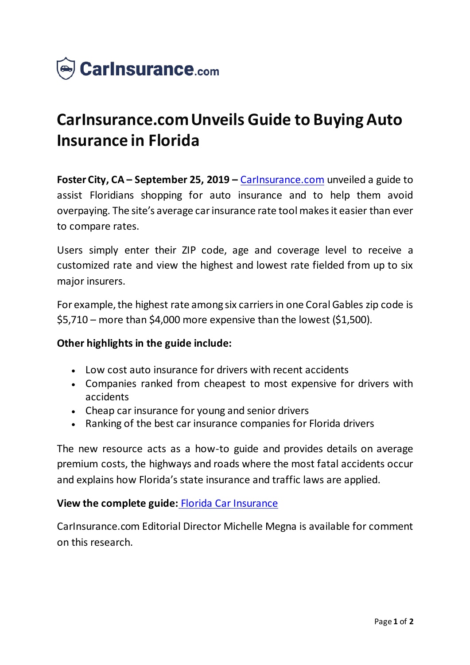

# **CarInsurance.com Unveils Guide to Buying Auto Insurance in Florida**

**Foster City, CA – September 25, 2019 –** [CarInsurance.com](https://www.carinsurance.com/state/Florida-car-insurance.aspx) unveiled a guide to assist Floridians shopping for auto insurance and to help them avoid overpaying. The site's average car insurance rate tool makes it easier than ever to compare rates.

Users simply enter their ZIP code, age and coverage level to receive a customized rate and view the highest and lowest rate fielded from up to six major insurers.

For example, the highest rate among six carriers in one Coral Gables zip code is \$5,710 – more than \$4,000 more expensive than the lowest (\$1,500).

### **Other highlights in the guide include:**

- Low cost auto insurance for drivers with recent accidents
- Companies ranked from cheapest to most expensive for drivers with accidents
- Cheap car insurance for young and senior drivers
- Ranking of the best car insurance companies for Florida drivers

The new resource acts as a how-to guide and provides details on average premium costs, the highways and roads where the most fatal accidents occur and explains how Florida's state insurance and traffic laws are applied.

### **View the complete guide:** [Florida Car Insurance](https://www.carinsurance.com/state/Florida-car-insurance.aspx)

CarInsurance.com Editorial Director Michelle Megna is available for comment on this research.